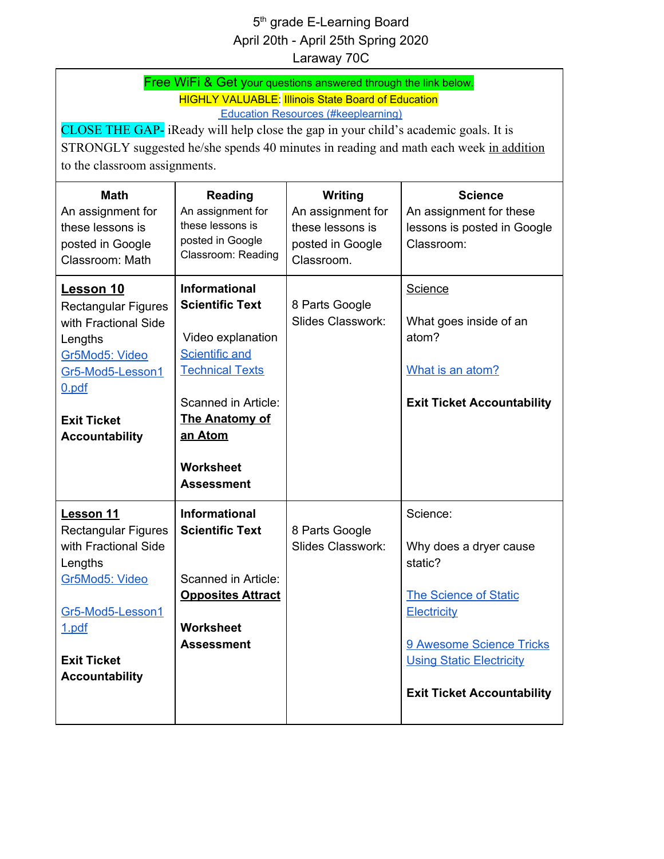## 5<sup>th</sup> grade E-Learning Board April 20th - April 25th Spring 2020 Laraway 70C

## Free WiFi & Get your questions answered through the link below. **HIGHLY VALUABLE: Illinois State Board of Education** Education Resources [\(#keeplearning\)](https://www.isbe.net/Pages/ContinueEDResources.aspx)

CLOSE THE GAP- iReady will help close the gap in your child's academic goals. It is STRONGLY suggested he/she spends 40 minutes in reading and math each week in addition to the classroom assignments.

| <b>Math</b><br>An assignment for<br>these lessons is<br>posted in Google<br>Classroom: Math                                                                                            | <b>Reading</b><br>An assignment for<br>these lessons is<br>posted in Google<br>Classroom: Reading                                                                                                                   | <b>Writing</b><br>An assignment for<br>these lessons is<br>posted in Google<br>Classroom. | <b>Science</b><br>An assignment for these<br>lessons is posted in Google<br>Classroom:                                                                                                           |
|----------------------------------------------------------------------------------------------------------------------------------------------------------------------------------------|---------------------------------------------------------------------------------------------------------------------------------------------------------------------------------------------------------------------|-------------------------------------------------------------------------------------------|--------------------------------------------------------------------------------------------------------------------------------------------------------------------------------------------------|
| <b>Lesson 10</b><br><b>Rectangular Figures</b><br>with Fractional Side<br>Lengths<br>Gr5Mod5: Video<br>Gr5-Mod5-Lesson1<br><u>0.pdf</u><br><b>Exit Ticket</b><br><b>Accountability</b> | <b>Informational</b><br><b>Scientific Text</b><br>Video explanation<br>Scientific and<br><b>Technical Texts</b><br>Scanned in Article:<br><b>The Anatomy of</b><br>an Atom<br><b>Worksheet</b><br><b>Assessment</b> | 8 Parts Google<br>Slides Classwork:                                                       | Science<br>What goes inside of an<br>atom?<br>What is an atom?<br><b>Exit Ticket Accountability</b>                                                                                              |
| Lesson 11<br><b>Rectangular Figures</b><br>with Fractional Side<br>Lengths<br>Gr5Mod5: Video<br>Gr5-Mod5-Lesson1<br><u>1.pdf</u><br><b>Exit Ticket</b><br><b>Accountability</b>        | <b>Informational</b><br><b>Scientific Text</b><br>Scanned in Article:<br><b>Opposites Attract</b><br><b>Worksheet</b><br>Assessment                                                                                 | 8 Parts Google<br><b>Slides Classwork:</b>                                                | Science:<br>Why does a dryer cause<br>static?<br><b>The Science of Static</b><br>Electricity<br>9 Awesome Science Tricks<br><b>Using Static Electricity</b><br><b>Exit Ticket Accountability</b> |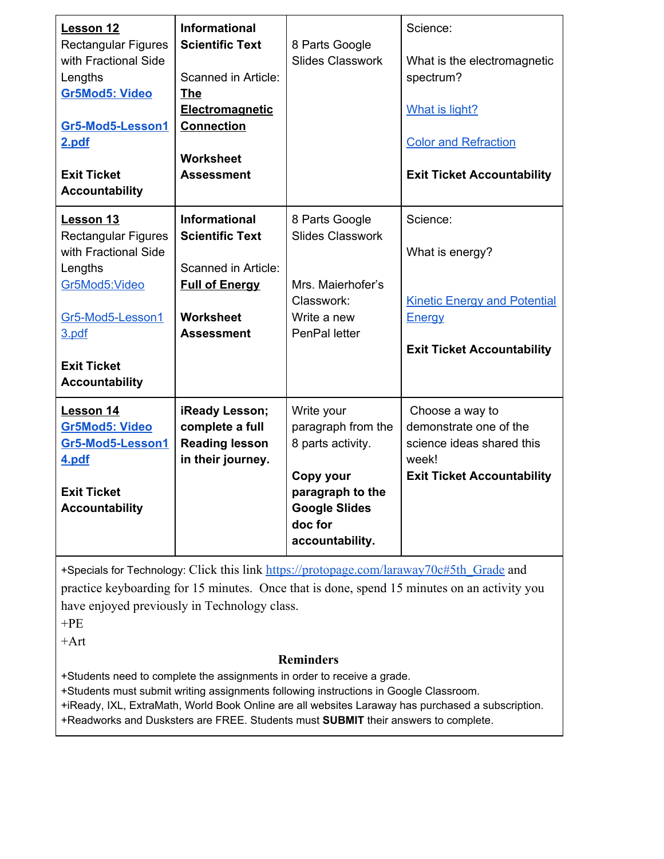| Lesson 12<br><b>Rectangular Figures</b><br>with Fractional Side<br>Lengths<br><b>Gr5Mod5: Video</b><br>Gr5-Mod5-Lesson1<br>2.pdf<br><b>Exit Ticket</b><br><b>Accountability</b> | <b>Informational</b><br><b>Scientific Text</b><br>Scanned in Article:<br><b>The</b><br><b>Electromagnetic</b><br><b>Connection</b><br><b>Worksheet</b><br><b>Assessment</b> | 8 Parts Google<br><b>Slides Classwork</b>                                                                                                    | Science:<br>What is the electromagnetic<br>spectrum?<br>What is light?<br><b>Color and Refraction</b><br><b>Exit Ticket Accountability</b> |
|---------------------------------------------------------------------------------------------------------------------------------------------------------------------------------|-----------------------------------------------------------------------------------------------------------------------------------------------------------------------------|----------------------------------------------------------------------------------------------------------------------------------------------|--------------------------------------------------------------------------------------------------------------------------------------------|
| Lesson 13<br><b>Rectangular Figures</b><br>with Fractional Side<br>Lengths<br>Gr5Mod5:Video<br>Gr5-Mod5-Lesson1<br>3.pdf<br><b>Exit Ticket</b><br><b>Accountability</b>         | <b>Informational</b><br><b>Scientific Text</b><br>Scanned in Article:<br><b>Full of Energy</b><br><b>Worksheet</b><br><b>Assessment</b>                                     | 8 Parts Google<br><b>Slides Classwork</b><br>Mrs. Maierhofer's<br>Classwork:<br>Write a new<br>PenPal letter                                 | Science:<br>What is energy?<br><b>Kinetic Energy and Potential</b><br>Energy<br><b>Exit Ticket Accountability</b>                          |
| Lesson 14<br><b>Gr5Mod5: Video</b><br>Gr5-Mod5-Lesson1<br>4.pdf<br><b>Exit Ticket</b><br><b>Accountability</b>                                                                  | iReady Lesson;<br>complete a full<br><b>Reading lesson</b><br>in their journey.                                                                                             | Write your<br>paragraph from the<br>8 parts activity.<br>Copy your<br>paragraph to the<br><b>Google Slides</b><br>doc for<br>accountability. | Choose a way to<br>demonstrate one of the<br>science ideas shared this<br>week!<br><b>Exit Ticket Accountability</b>                       |

+Specials for Technology: Click this link [https://protopage.com/laraway70c#5th\\_Grade](https://protopage.com/laraway70c#5th_Grade) and practice keyboarding for 15 minutes. Once that is done, spend 15 minutes on an activity you have enjoyed previously in Technology class.

 $+PE$ 

+Art

## **Reminders**

+Students need to complete the assignments in order to receive a grade.

+Students must submit writing assignments following instructions in Google Classroom.

+iReady, IXL, ExtraMath, World Book Online are all websites Laraway has purchased a subscription.

+Readworks and Dusksters are FREE. Students must **SUBMIT** their answers to complete.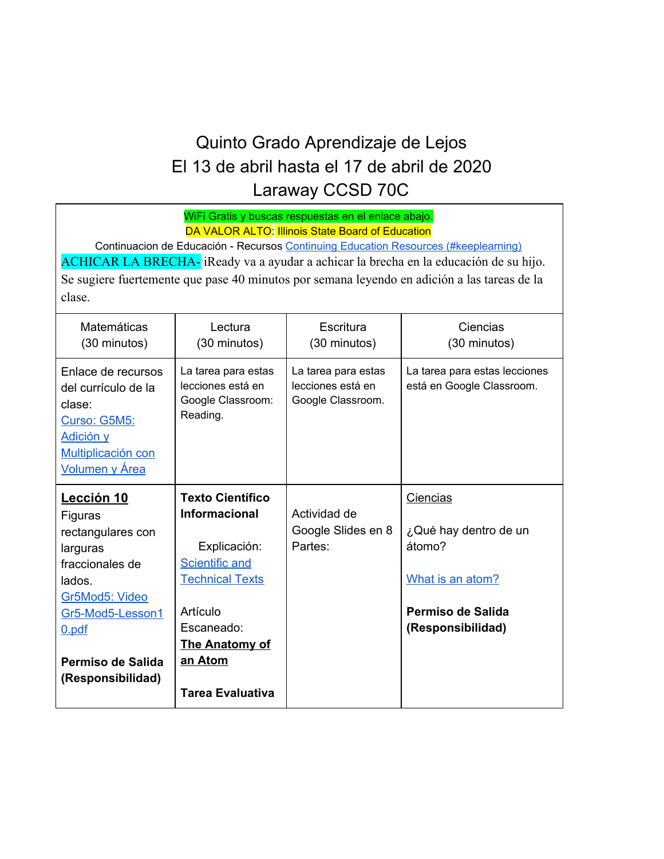## Quinto Grado Aprendizaje de Lejos El 13 de abril hasta el 17 de abril de 2020 Laraway CCSD 70C

| WiFi Gratis y buscas respuestas en el enlace abajo. |                               |                                                  |                                                                                              |
|-----------------------------------------------------|-------------------------------|--------------------------------------------------|----------------------------------------------------------------------------------------------|
|                                                     |                               | DA VALOR ALTO: Illinois State Board of Education |                                                                                              |
|                                                     |                               |                                                  | Continuacion de Educación - Recursos Continuing Education Resources (#keeplearning)          |
|                                                     |                               |                                                  | <b>ACHICAR LA BRECHA-</b> iReady va a ayudar a achicar la brecha en la educación de su hijo. |
|                                                     |                               |                                                  | Se sugiere fuertemente que pase 40 minutos por semana leyendo en adición a las tareas de la  |
| clase.                                              |                               |                                                  |                                                                                              |
| Matemáticas                                         | Lectura                       | Escritura                                        | Ciencias                                                                                     |
| (30 minutos)                                        | (30 minutos)                  | (30 minutos)                                     | (30 minutos)                                                                                 |
|                                                     |                               |                                                  |                                                                                              |
| Enlace de recursos                                  | La tarea para estas           | La tarea para estas                              | La tarea para estas lecciones                                                                |
| del currículo de la                                 | lecciones está en             | lecciones está en                                | está en Google Classroom.                                                                    |
| clase:                                              | Google Classroom:<br>Reading. | Google Classroom.                                |                                                                                              |
| Curso: G5M5:                                        |                               |                                                  |                                                                                              |
| Adición y                                           |                               |                                                  |                                                                                              |
| Multiplicación con                                  |                               |                                                  |                                                                                              |
| <b>Volumen y Área</b>                               |                               |                                                  |                                                                                              |
| Lección 10                                          | <b>Texto Científico</b>       |                                                  | Ciencias                                                                                     |
| Figuras                                             | <b>Informacional</b>          | Actividad de                                     |                                                                                              |
| rectangulares con                                   |                               | Google Slides en 8                               | ¿Que hay dentro de un                                                                        |
| larguras                                            | Explicación:                  | Partes:                                          | átomo?                                                                                       |
| fraccionales de                                     | Scientific and                |                                                  |                                                                                              |
| lados.                                              | <b>Technical Texts</b>        |                                                  | What is an atom?                                                                             |
| Gr5Mod5: Video                                      |                               |                                                  |                                                                                              |
| Gr5-Mod5-Lesson1                                    | Artículo                      |                                                  | Permiso de Salida                                                                            |
| 0.pdf                                               | Escaneado:                    |                                                  | (Responsibilidad)                                                                            |
|                                                     | <b>The Anatomy of</b>         |                                                  |                                                                                              |
| Permiso de Salida                                   | an Atom                       |                                                  |                                                                                              |
| (Responsibilidad)                                   |                               |                                                  |                                                                                              |
|                                                     | <b>Tarea Evaluativa</b>       |                                                  |                                                                                              |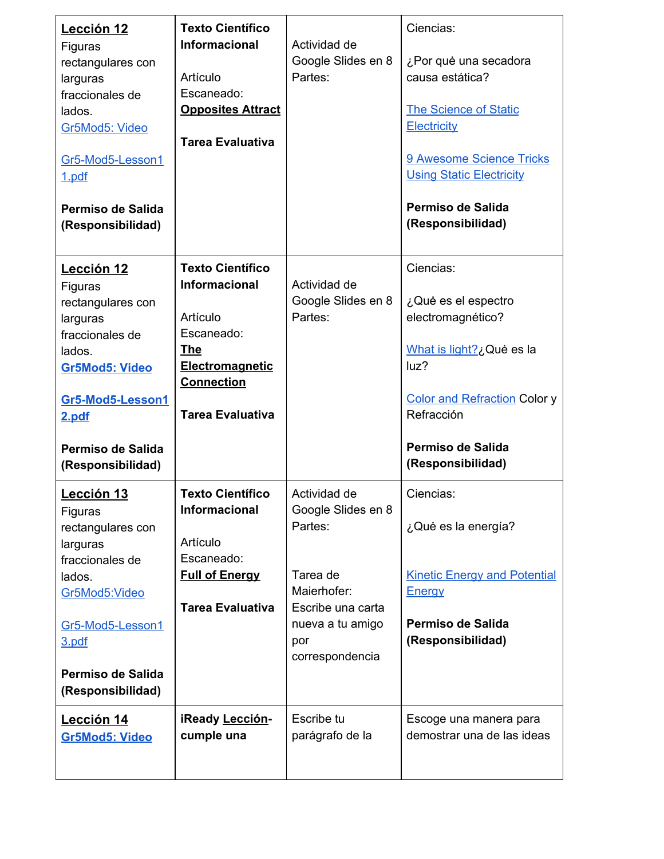| Lección 12<br>Figuras<br>rectangulares con<br>larguras<br>fraccionales de<br>lados.<br>Gr5Mod5: Video<br>Gr5-Mod5-Lesson1<br>1.pdf<br>Permiso de Salida<br>(Responsibilidad)               | <b>Texto Científico</b><br>Informacional<br>Artículo<br>Escaneado:<br><b>Opposites Attract</b><br>Tarea Evaluativa                                         | Actividad de<br>Google Slides en 8<br>Partes:                                                                                               | Ciencias:<br>¿Por quė una secadora<br>causa estática?<br><b>The Science of Static</b><br>Electricity<br>9 Awesome Science Tricks<br><b>Using Static Electricity</b><br>Permiso de Salida<br>(Responsibilidad) |
|--------------------------------------------------------------------------------------------------------------------------------------------------------------------------------------------|------------------------------------------------------------------------------------------------------------------------------------------------------------|---------------------------------------------------------------------------------------------------------------------------------------------|---------------------------------------------------------------------------------------------------------------------------------------------------------------------------------------------------------------|
| Lección 12<br>Figuras<br>rectangulares con<br>larguras<br>fraccionales de<br>lados.<br><b>Gr5Mod5: Video</b><br>Gr5-Mod5-Lesson1<br><u>2.pdf</u><br>Permiso de Salida<br>(Responsibilidad) | <b>Texto Científico</b><br><b>Informacional</b><br>Artículo<br>Escaneado:<br><u>The</u><br>Electromagnetic<br><b>Connection</b><br><b>Tarea Evaluativa</b> | Actividad de<br>Google Slides en 8<br>Partes:                                                                                               | Ciencias:<br>¿Qué es el espectro<br>electromagnético?<br>What is light?¿Que es la<br>luz?<br><b>Color and Refraction Color y</b><br>Refracción<br>Permiso de Salida<br>(Responsibilidad)                      |
| <b>Lección 13</b><br>Figuras<br>rectangulares con<br>larguras<br>fraccionales de<br>lados.<br>Gr5Mod5:Video<br>Gr5-Mod5-Lesson1<br>3.pdf<br>Permiso de Salida<br>(Responsibilidad)         | <b>Texto Científico</b><br>Informacional<br>Artículo<br>Escaneado:<br><b>Full of Energy</b><br>Tarea Evaluativa                                            | Actividad de<br>Google Slides en 8<br>Partes:<br>Tarea de<br>Maierhofer:<br>Escribe una carta<br>nueva a tu amigo<br>por<br>correspondencia | Ciencias:<br>¿Qué es la energía?<br><b>Kinetic Energy and Potential</b><br>Energy<br>Permiso de Salida<br>(Responsibilidad)                                                                                   |
| Lección 14<br><b>Gr5Mod5: Video</b>                                                                                                                                                        | iReady Lección-<br>cumple una                                                                                                                              | Escribe tu<br>parágrafo de la                                                                                                               | Escoge una manera para<br>demostrar una de las ideas                                                                                                                                                          |